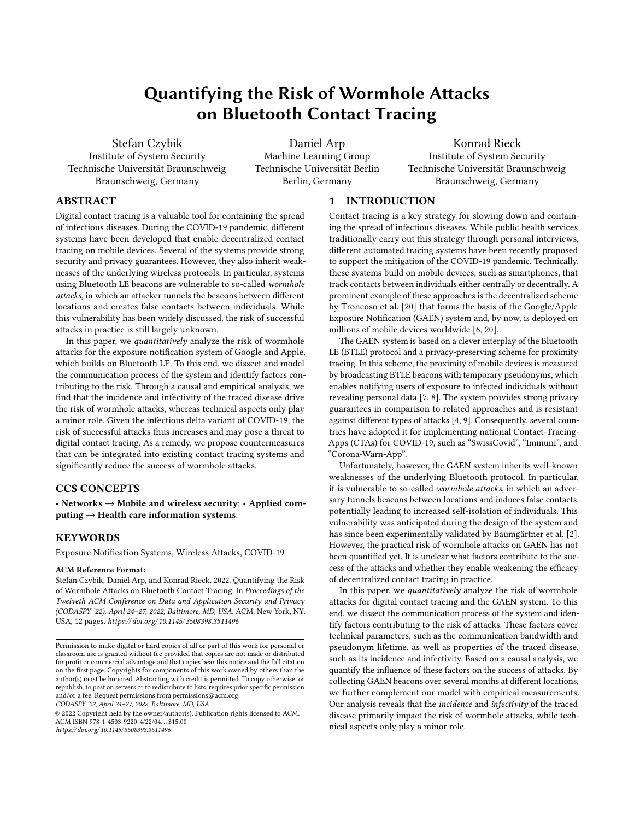# Quantifying the Risk of Wormhole Attacks on Bluetooth Contact Tracing

<span id="page-0-0"></span>Stefan Czybik Institute of System Security Technische Universität Braunschweig Braunschweig, Germany

Daniel Arp Machine Learning Group Technische Universität Berlin Berlin, Germany

Konrad Rieck Institute of System Security Technische Universität Braunschweig Braunschweig, Germany

## ABSTRACT

Digital contact tracing is a valuable tool for containing the spread of infectious diseases. During the COVID-19 pandemic, different systems have been developed that enable decentralized contact tracing on mobile devices. Several of the systems provide strong security and privacy guarantees. However, they also inherit weaknesses of the underlying wireless protocols. In particular, systems using Bluetooth LE beacons are vulnerable to so-called wormhole attacks, in which an attacker tunnels the beacons between different locations and creates false contacts between individuals. While this vulnerability has been widely discussed, the risk of successful attacks in practice is still largely unknown.

In this paper, we quantitatively analyze the risk of wormhole attacks for the exposure notification system of Google and Apple, which builds on Bluetooth LE. To this end, we dissect and model the communication process of the system and identify factors contributing to the risk. Through a causal and empirical analysis, we find that the incidence and infectivity of the traced disease drive the risk of wormhole attacks, whereas technical aspects only play a minor role. Given the infectious delta variant of COVID-19, the risk of successful attacks thus increases and may pose a threat to digital contact tracing. As a remedy, we propose countermeasures that can be integrated into existing contact tracing systems and significantly reduce the success of wormhole attacks.

# CCS CONCEPTS

• Networks  $\rightarrow$  Mobile and wireless security; • Applied computing  $\rightarrow$  Health care information systems.

# **KEYWORDS**

Exposure Notification Systems, Wireless Attacks, COVID-19

#### ACM Reference Format:

Stefan Czybik, Daniel Arp, and Konrad Rieck. 2022. Quantifying the Risk of Wormhole Attacks on Bluetooth Contact Tracing. In Proceedings of the Twelveth ACM Conference on Data and Application Security and Privacy (CODASPY '22), April 24–27, 2022, Baltimore, MD, USA. ACM, New York, NY, USA, [12](#page-11-0) pages. [https://doi.org/ 10.1145/ 3508398.3511496](https://doi.org/10.1145/3508398.3511496)

CODASPY '22, April 24–27, 2022, Baltimore, MD, USA

© 2022 Copyright held by the owner/author(s). Publication rights licensed to ACM. ACM ISBN 978-1-4503-9220-4/22/04. . . \$15.00 [https://doi.org/ 10.1145/ 3508398.3511496](https://doi.org/10.1145/3508398.3511496)

## 1 INTRODUCTION

Contact tracing is a key strategy for slowing down and containing the spread of infectious diseases. While public health services traditionally carry out this strategy through personal interviews, different automated tracing systems have been recently proposed to support the mitigation of the COVID-19 pandemic. Technically, these systems build on mobile devices, such as smartphones, that track contacts between individuals either centrally or decentrally. A prominent example of these approaches is the decentralized scheme by Troncoso et al. [\[20\]](#page-11-1) that forms the basis of the Google/Apple Exposure Notification (GAEN) system and, by now, is deployed on millions of mobile devices worldwide [\[6,](#page-11-2) [20\]](#page-11-1).

The GAEN system is based on a clever interplay of the Bluetooth LE (BTLE) protocol and a privacy-preserving scheme for proximity tracing. In this scheme, the proximity of mobile devices is measured by broadcasting BTLE beacons with temporary pseudonyms, which enables notifying users of exposure to infected individuals without revealing personal data [\[7,](#page-11-3) [8\]](#page-11-4). The system provides strong privacy guarantees in comparison to related approaches and is resistant against different types of attacks [\[4,](#page-11-5) [9\]](#page-11-6). Consequently, several countries have adopted it for implementing national Contact-Tracing-Apps (CTAs) for COVID-19, such as "SwissCovid", "Immuni", and "Corona-Warn-App".

Unfortunately, however, the GAEN system inherits well-known weaknesses of the underlying Bluetooth protocol. In particular, it is vulnerable to so-called wormhole attacks, in which an adversary tunnels beacons between locations and induces false contacts, potentially leading to increased self-isolation of individuals. This vulnerability was anticipated during the design of the system and has since been experimentally validated by Baumgärtner et al. [\[2\]](#page-11-7). However, the practical risk of wormhole attacks on GAEN has not been quantified yet. It is unclear what factors contribute to the success of the attacks and whether they enable weakening the efficacy of decentralized contact tracing in practice.

In this paper, we quantitatively analyze the risk of wormhole attacks for digital contact tracing and the GAEN system. To this end, we dissect the communication process of the system and identify factors contributing to the risk of attacks. These factors cover technical parameters, such as the communication bandwidth and pseudonym lifetime, as well as properties of the traced disease, such as its incidence and infectivity. Based on a causal analysis, we quantify the influence of these factors on the success of attacks. By collecting GAEN beacons over several months at different locations, we further complement our model with empirical measurements. Our analysis reveals that the incidence and infectivity of the traced disease primarily impact the risk of wormhole attacks, while technical aspects only play a minor role.

Permission to make digital or hard copies of all or part of this work for personal or classroom use is granted without fee provided that copies are not made or distributed for profit or commercial advantage and that copies bear this notice and the full citation on the first page. Copyrights for components of this work owned by others than the author(s) must be honored. Abstracting with credit is permitted. To copy otherwise, or republish, to post on servers or to redistribute to lists, requires prior specific permission and/or a fee. Request permissions from permissions@acm.org.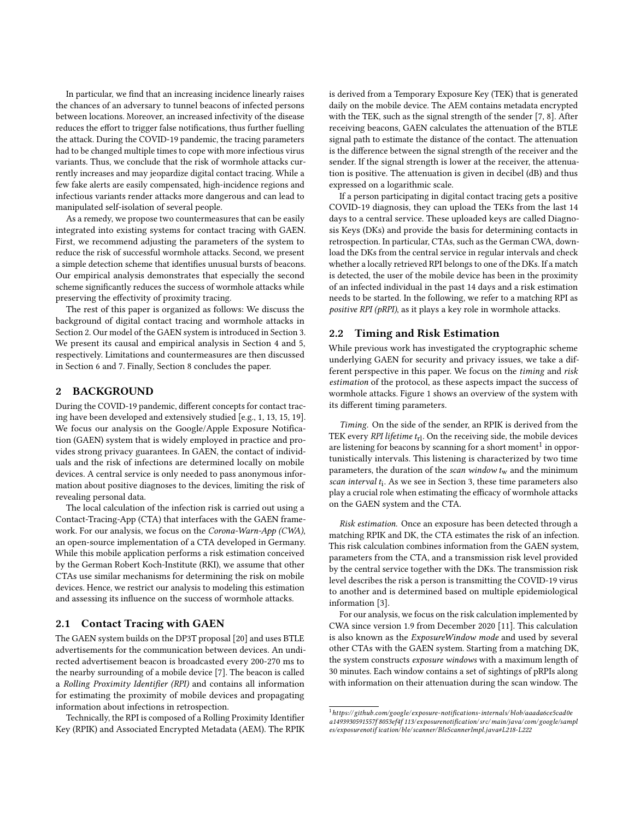In particular, we find that an increasing incidence linearly raises the chances of an adversary to tunnel beacons of infected persons between locations. Moreover, an increased infectivity of the disease reduces the effort to trigger false notifications, thus further fuelling the attack. During the COVID-19 pandemic, the tracing parameters had to be changed multiple times to cope with more infectious virus variants. Thus, we conclude that the risk of wormhole attacks currently increases and may jeopardize digital contact tracing. While a few fake alerts are easily compensated, high-incidence regions and infectious variants render attacks more dangerous and can lead to manipulated self-isolation of several people.

As a remedy, we propose two countermeasures that can be easily integrated into existing systems for contact tracing with GAEN. First, we recommend adjusting the parameters of the system to reduce the risk of successful wormhole attacks. Second, we present a simple detection scheme that identifies unusual bursts of beacons. Our empirical analysis demonstrates that especially the second scheme significantly reduces the success of wormhole attacks while preserving the effectivity of proximity tracing.

The rest of this paper is organized as follows: We discuss the background of digital contact tracing and wormhole attacks in Section [2.](#page-1-0) Our model of the GAEN system is introduced in Section [3.](#page-2-0) We present its causal and empirical analysis in Section [4](#page-5-0) and [5,](#page-7-0) respectively. Limitations and countermeasures are then discussed in Section [6](#page-9-0) and [7.](#page-10-0) Finally, Section [8](#page-11-8) concludes the paper.

# <span id="page-1-0"></span>2 BACKGROUND

During the COVID-19 pandemic, different concepts for contact tracing have been developed and extensively studied [e.g., [1,](#page-11-9) [13,](#page-11-10) [15,](#page-11-11) [19\]](#page-11-12). We focus our analysis on the Google/Apple Exposure Notification (GAEN) system that is widely employed in practice and provides strong privacy guarantees. In GAEN, the contact of individuals and the risk of infections are determined locally on mobile devices. A central service is only needed to pass anonymous information about positive diagnoses to the devices, limiting the risk of revealing personal data.

The local calculation of the infection risk is carried out using a Contact-Tracing-App (CTA) that interfaces with the GAEN framework. For our analysis, we focus on the Corona-Warn-App (CWA), an open-source implementation of a CTA developed in Germany. While this mobile application performs a risk estimation conceived by the German Robert Koch-Institute (RKI), we assume that other CTAs use similar mechanisms for determining the risk on mobile devices. Hence, we restrict our analysis to modeling this estimation and assessing its influence on the success of wormhole attacks.

# 2.1 Contact Tracing with GAEN

The GAEN system builds on the DP3T proposal [\[20\]](#page-11-1) and uses BTLE advertisements for the communication between devices. An undirected advertisement beacon is broadcasted every 200-270 ms to the nearby surrounding of a mobile device [\[7\]](#page-11-3). The beacon is called a Rolling Proximity Identifier (RPI) and contains all information for estimating the proximity of mobile devices and propagating information about infections in retrospection.

Technically, the RPI is composed of a Rolling Proximity Identifier Key (RPIK) and Associated Encrypted Metadata (AEM). The RPIK is derived from a Temporary Exposure Key (TEK) that is generated daily on the mobile device. The AEM contains metadata encrypted with the TEK, such as the signal strength of the sender [\[7,](#page-11-3) [8\]](#page-11-4). After receiving beacons, GAEN calculates the attenuation of the BTLE signal path to estimate the distance of the contact. The attenuation is the difference between the signal strength of the receiver and the sender. If the signal strength is lower at the receiver, the attenuation is positive. The attenuation is given in decibel (dB) and thus expressed on a logarithmic scale.

If a person participating in digital contact tracing gets a positive COVID-19 diagnosis, they can upload the TEKs from the last 14 days to a central service. These uploaded keys are called Diagnosis Keys (DKs) and provide the basis for determining contacts in retrospection. In particular, CTAs, such as the German CWA, download the DKs from the central service in regular intervals and check whether a locally retrieved RPI belongs to one of the DKs. If a match is detected, the user of the mobile device has been in the proximity of an infected individual in the past 14 days and a risk estimation needs to be started. In the following, we refer to a matching RPI as positive RPI (pRPI), as it plays a key role in wormhole attacks.

#### 2.2 Timing and Risk Estimation

While previous work has investigated the cryptographic scheme underlying GAEN for security and privacy issues, we take a different perspective in this paper. We focus on the timing and risk estimation of the protocol, as these aspects impact the success of wormhole attacks. Figure [1](#page-2-1) shows an overview of the system with its different timing parameters.

Timing. On the side of the sender, an RPIK is derived from the TEK every [RPI lifetime](#page-0-0)  $t_{\rm rl}$ . On the receiving side, the mobile devices are listening for beacons by scanning for a short moment<sup>[1](#page-1-1)</sup> in opportunistically intervals. This listening is characterized by two time parameters, the duration of the [scan window](#page-0-0)  $t_w$  and the minimum [scan interval](#page-0-0)  $t_i$ . As we see in Section [3,](#page-2-0) these time parameters also play a crucial role when estimating the efficacy of wormhole attacks on the GAEN system and the CTA.

Risk estimation. Once an exposure has been detected through a matching RPIK and DK, the CTA estimates the risk of an infection. This risk calculation combines information from the GAEN system, parameters from the CTA, and a transmission risk level provided by the central service together with the DKs. The transmission risk level describes the risk a person is transmitting the COVID-19 virus to another and is determined based on multiple epidemiological information [\[3\]](#page-11-13).

For our analysis, we focus on the risk calculation implemented by CWA since version 1.9 from December 2020 [\[11\]](#page-11-14). This calculation is also known as the *ExposureWindow mode* and used by several other CTAs with the GAEN system. Starting from a matching DK, the system constructs exposure windows with a maximum length of 30 minutes. Each window contains a set of sightings of pRPIs along with information on their attenuation during the scan window. The

<span id="page-1-1"></span> $^1$ [https://github.com/google/ exposure-notifications-internals/blob/aaada6ce5cad0e](https://github.com/google/exposure-notifications-internals/blob/aaada6ce5cad0ea1493930591557f8053ef4f113/exposurenotification/src/main/java/com/google/samples/exposurenotification/ble/scanner/BleScannerImpl.java#L218-L222) [a1493930591557f 8053ef4f 113/ exposurenotification/ src/main/java/ com/google/sampl](https://github.com/google/exposure-notifications-internals/blob/aaada6ce5cad0ea1493930591557f8053ef4f113/exposurenotification/src/main/java/com/google/samples/exposurenotification/ble/scanner/BleScannerImpl.java#L218-L222) [es/exposurenotif ication/ble/ scanner/BleScannerImpl.java#L218-L222](https://github.com/google/exposure-notifications-internals/blob/aaada6ce5cad0ea1493930591557f8053ef4f113/exposurenotification/src/main/java/com/google/samples/exposurenotification/ble/scanner/BleScannerImpl.java#L218-L222)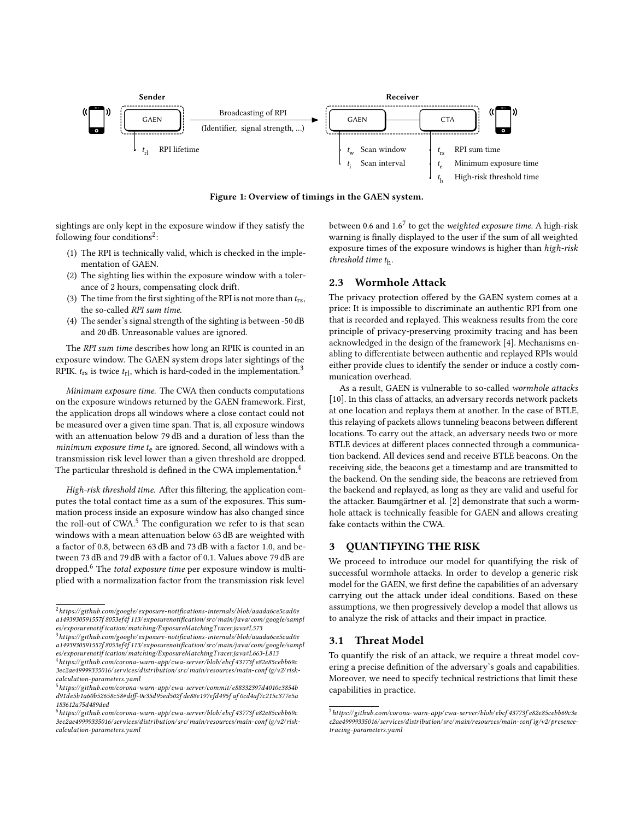<span id="page-2-1"></span>

Figure 1: Overview of timings in the GAEN system.

sightings are only kept in the exposure window if they satisfy the following four conditions<sup>[2](#page-2-2)</sup>:

- (1) The RPI is technically valid, which is checked in the implementation of GAEN.
- (2) The sighting lies within the exposure window with a tolerance of 2 hours, compensating clock drift.
- (3) The time from the first sighting of the RPI is not more than  $t_{rs}$ , the so-called [RPI sum time](#page-0-0).
- (4) The sender's signal strength of the sighting is between -50 dB and 20 dB. Unreasonable values are ignored.

The [RPI sum time](#page-0-0) describes how long an RPIK is counted in an exposure window. The GAEN system drops later sightings of the RPIK.  $t_{rs}$  is twice  $t_{rl}$ , which is hard-coded in the implementation.<sup>[3](#page-2-3)</sup>

Minimum exposure time. The CWA then conducts computations on the exposure windows returned by the GAEN framework. First, the application drops all windows where a close contact could not be measured over a given time span. That is, all exposure windows with an attenuation below 79 dB and a duration of less than the  $minimum$  exposure time  $t<sub>e</sub>$  are ignored. Second, all windows with a transmission risk level lower than a given threshold are dropped. The particular threshold is defined in the CWA implementation.<sup>[4](#page-2-4)</sup>

High-risk threshold time. After this filtering, the application computes the total contact time as a sum of the exposures. This summation process inside an exposure window has also changed since the roll-out of CWA.<sup>[5](#page-2-5)</sup> The configuration we refer to is that scan windows with a mean attenuation below 63 dB are weighted with a factor of 0.8, between 63 dB and 73 dB with a factor 1.0, and between 73 dB and 79 dB with a factor of 0.1. Values above 79 dB are dropped.<sup>[6](#page-2-6)</sup> The total exposure time per exposure window is multiplied with a normalization factor from the transmission risk level

<span id="page-2-3"></span> $3$ [https://github.com/google/ exposure-notifications-internals/blob/aaada6ce5cad0e](https://github.com/google/exposure-notifications-internals/blob/aaada6ce5cad0ea1493930591557f8053ef4f113/exposurenotification/src/main/java/com/google/samples/exposurenotification/matching/ExposureMatchingTracer.java#L663-L813) [a1493930591557f 8053ef4f 113/ exposurenotification/ src/main/java/ com/google/sampl](https://github.com/google/exposure-notifications-internals/blob/aaada6ce5cad0ea1493930591557f8053ef4f113/exposurenotification/src/main/java/com/google/samples/exposurenotification/matching/ExposureMatchingTracer.java#L663-L813)  $\ensuremath{\mathit{es}}/\ensuremath{\mathit{ex}}$  posurenotif ication/matching/ExposureMatchingTracer.java#L663-L813  $^4$ [https://github.com/corona-warn-app/ cwa-server/blob/ ebcf 43773f e82e85cebb69c](https://github.com/corona-warn-app/cwa-server/blob/ebcf43773fe82e85cebb69c3ec2ae49999335016/services/distribution/src/main/resources/main-config/v2/risk-calculation-parameters.yaml)

between 0.6 and 1.6 $^7$  $^7$  to get the *weighted exposure time*. A high-risk warning is finally displayed to the user if the sum of all weighted exposure times of the exposure windows is higher than [high-risk](#page-0-0) [threshold time](#page-0-0)  $t<sub>h</sub>$ .

# 2.3 Wormhole Attack

The privacy protection offered by the GAEN system comes at a price: It is impossible to discriminate an authentic RPI from one that is recorded and replayed. This weakness results from the core principle of privacy-preserving proximity tracing and has been acknowledged in the design of the framework [\[4\]](#page-11-5). Mechanisms enabling to differentiate between authentic and replayed RPIs would either provide clues to identify the sender or induce a costly communication overhead.

As a result, GAEN is vulnerable to so-called wormhole attacks [\[10\]](#page-11-15). In this class of attacks, an adversary records network packets at one location and replays them at another. In the case of BTLE, this relaying of packets allows tunneling beacons between different locations. To carry out the attack, an adversary needs two or more BTLE devices at different places connected through a communication backend. All devices send and receive BTLE beacons. On the receiving side, the beacons get a timestamp and are transmitted to the backend. On the sending side, the beacons are retrieved from the backend and replayed, as long as they are valid and useful for the attacker. Baumgärtner et al. [\[2\]](#page-11-7) demonstrate that such a wormhole attack is technically feasible for GAEN and allows creating fake contacts within the CWA.

# <span id="page-2-0"></span>3 QUANTIFYING THE RISK

We proceed to introduce our model for quantifying the risk of successful wormhole attacks. In order to develop a generic risk model for the GAEN, we first define the capabilities of an adversary carrying out the attack under ideal conditions. Based on these assumptions, we then progressively develop a model that allows us to analyze the risk of attacks and their impact in practice.

# 3.1 Threat Model

To quantify the risk of an attack, we require a threat model covering a precise definition of the adversary's goals and capabilities. Moreover, we need to specify technical restrictions that limit these capabilities in practice.

<span id="page-2-2"></span> $^2$ https://github.com/google/exposure-notifications-internals/blob/aaada6ce5cad0e [a1493930591557f 8053ef4f 113/ exposurenotification/ src/main/java/ com/google/sampl](https://github.com/google/exposure-notifications-internals/blob/aaada6ce5cad0ea1493930591557f8053ef4f113/exposurenotification/src/main/java/com/google/samples/exposurenotification/matching/ExposureMatchingTracer.java#L573) [es/exposurenotif ication/matching/ExposureMatchingT racer.java#L573](https://github.com/google/exposure-notifications-internals/blob/aaada6ce5cad0ea1493930591557f8053ef4f113/exposurenotification/src/main/java/com/google/samples/exposurenotification/matching/ExposureMatchingTracer.java#L573)

<span id="page-2-4"></span> $3ec2ae49999335016/\allowbreak services/distribution/src/main/resources/main-config/v2/risk$ [calculation-parameters.yaml](https://github.com/corona-warn-app/cwa-server/blob/ebcf43773fe82e85cebb69c3ec2ae49999335016/services/distribution/src/main/resources/main-config/v2/risk-calculation-parameters.yaml)

<span id="page-2-5"></span> $^5$ [https://github.com/corona-warn-app/ cwa-server/commit/ e88332397d4010c3854b](https://github.com/corona-warn-app/cwa-server/commit/e88332397d4010c3854bd91de5b1a60b52658c58#diff-0e35d95ed502fde88e197efd495faf0cd4af7c215c377e5a183612a75d489ded) [d91de5b1a60b52658c58#diff-0e35d95ed502f de88e197efd495f af 0cd4af7c215c377e5a](https://github.com/corona-warn-app/cwa-server/commit/e88332397d4010c3854bd91de5b1a60b52658c58#diff-0e35d95ed502fde88e197efd495faf0cd4af7c215c377e5a183612a75d489ded) [183612a75d489ded](https://github.com/corona-warn-app/cwa-server/commit/e88332397d4010c3854bd91de5b1a60b52658c58#diff-0e35d95ed502fde88e197efd495faf0cd4af7c215c377e5a183612a75d489ded)

<span id="page-2-6"></span><sup>6</sup>[https://github.com/corona-warn-app/ cwa-server/blob/ ebcf 43773f e82e85cebb69c](https://github.com/corona-warn-app/cwa-server/blob/ebcf43773fe82e85cebb69c3ec2ae49999335016/services/distribution/src/main/resources/main-config/v2/risk-calculation-parameters.yaml) [3ec2ae49999335016/ services/distribution/ src/main/resources/main-conf ig/v2/ risk](https://github.com/corona-warn-app/cwa-server/blob/ebcf43773fe82e85cebb69c3ec2ae49999335016/services/distribution/src/main/resources/main-config/v2/risk-calculation-parameters.yaml)[calculation-parameters.yaml](https://github.com/corona-warn-app/cwa-server/blob/ebcf43773fe82e85cebb69c3ec2ae49999335016/services/distribution/src/main/resources/main-config/v2/risk-calculation-parameters.yaml)

<span id="page-2-7"></span> $^7$ [https://github.com/corona-warn-app/ cwa-server/blob/ ebcf 43773f e82e85cebb69c3e](https://github.com/corona-warn-app/cwa-server/blob/ebcf43773fe82e85cebb69c3ec2ae49999335016/services/distribution/src/main/resources/main-config/v2/presence-tracing-parameters.yaml) [c2ae49999335016/ services/distribution/ src/main/resources/main-conf ig/v2/presence](https://github.com/corona-warn-app/cwa-server/blob/ebcf43773fe82e85cebb69c3ec2ae49999335016/services/distribution/src/main/resources/main-config/v2/presence-tracing-parameters.yaml)[tracing-parameters.yaml](https://github.com/corona-warn-app/cwa-server/blob/ebcf43773fe82e85cebb69c3ec2ae49999335016/services/distribution/src/main/resources/main-config/v2/presence-tracing-parameters.yaml)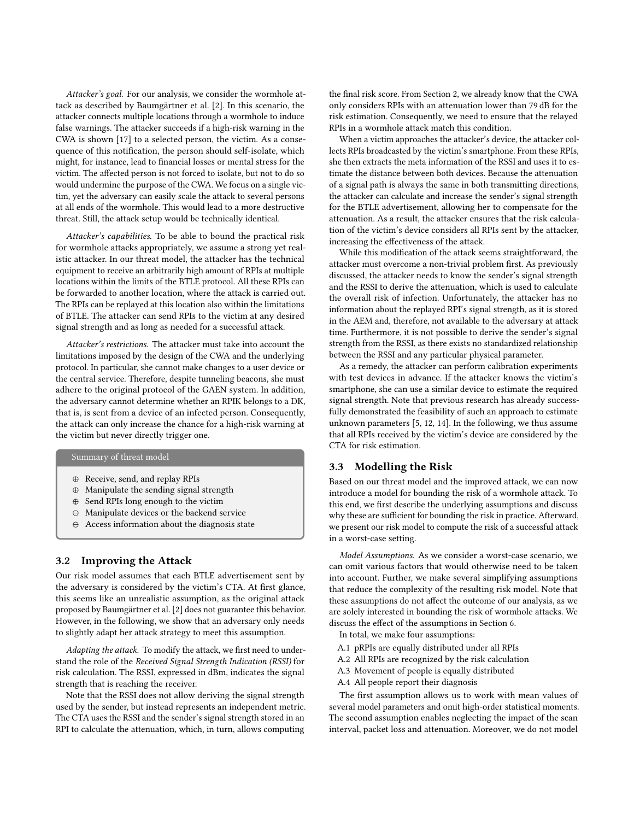Attacker's goal. For our analysis, we consider the wormhole attack as described by Baumgärtner et al. [\[2\]](#page-11-7). In this scenario, the attacker connects multiple locations through a wormhole to induce false warnings. The attacker succeeds if a high-risk warning in the CWA is shown [\[17\]](#page-11-16) to a selected person, the victim. As a consequence of this notification, the person should self-isolate, which might, for instance, lead to financial losses or mental stress for the victim. The affected person is not forced to isolate, but not to do so would undermine the purpose of the CWA. We focus on a single victim, yet the adversary can easily scale the attack to several persons at all ends of the wormhole. This would lead to a more destructive threat. Still, the attack setup would be technically identical.

Attacker's capabilities. To be able to bound the practical risk for wormhole attacks appropriately, we assume a strong yet realistic attacker. In our threat model, the attacker has the technical equipment to receive an arbitrarily high amount of RPIs at multiple locations within the limits of the BTLE protocol. All these RPIs can be forwarded to another location, where the attack is carried out. The RPIs can be replayed at this location also within the limitations of BTLE. The attacker can send RPIs to the victim at any desired signal strength and as long as needed for a successful attack.

Attacker's restrictions. The attacker must take into account the limitations imposed by the design of the CWA and the underlying protocol. In particular, she cannot make changes to a user device or the central service. Therefore, despite tunneling beacons, she must adhere to the original protocol of the GAEN system. In addition, the adversary cannot determine whether an RPIK belongs to a DK, that is, is sent from a device of an infected person. Consequently, the attack can only increase the chance for a high-risk warning at the victim but never directly trigger one.

# Summary of threat model

- ⊕ Receive, send, and replay RPIs
- ⊕ Manipulate the sending signal strength
- ⊕ Send RPIs long enough to the victim
- ⊖ Manipulate devices or the backend service
- ⊖ Access information about the diagnosis state

## 3.2 Improving the Attack

Our risk model assumes that each BTLE advertisement sent by the adversary is considered by the victim's CTA. At first glance, this seems like an unrealistic assumption, as the original attack proposed by Baumgärtner et al. [\[2\]](#page-11-7) does not guarantee this behavior. However, in the following, we show that an adversary only needs to slightly adapt her attack strategy to meet this assumption.

Adapting the attack. To modify the attack, we first need to understand the role of the Received Signal Strength Indication (RSSI) for risk calculation. The RSSI, expressed in dBm, indicates the signal strength that is reaching the receiver.

Note that the RSSI does not allow deriving the signal strength used by the sender, but instead represents an independent metric. The CTA uses the RSSI and the sender's signal strength stored in an RPI to calculate the attenuation, which, in turn, allows computing

the final risk score. From Section [2,](#page-1-0) we already know that the CWA only considers RPIs with an attenuation lower than 79 dB for the risk estimation. Consequently, we need to ensure that the relayed RPIs in a wormhole attack match this condition.

When a victim approaches the attacker's device, the attacker collects RPIs broadcasted by the victim's smartphone. From these RPIs, she then extracts the meta information of the RSSI and uses it to estimate the distance between both devices. Because the attenuation of a signal path is always the same in both transmitting directions, the attacker can calculate and increase the sender's signal strength for the BTLE advertisement, allowing her to compensate for the attenuation. As a result, the attacker ensures that the risk calculation of the victim's device considers all RPIs sent by the attacker, increasing the effectiveness of the attack.

While this modification of the attack seems straightforward, the attacker must overcome a non-trivial problem first. As previously discussed, the attacker needs to know the sender's signal strength and the RSSI to derive the attenuation, which is used to calculate the overall risk of infection. Unfortunately, the attacker has no information about the replayed RPI's signal strength, as it is stored in the AEM and, therefore, not available to the adversary at attack time. Furthermore, it is not possible to derive the sender's signal strength from the RSSI, as there exists no standardized relationship between the RSSI and any particular physical parameter.

As a remedy, the attacker can perform calibration experiments with test devices in advance. If the attacker knows the victim's smartphone, she can use a similar device to estimate the required signal strength. Note that previous research has already successfully demonstrated the feasibility of such an approach to estimate unknown parameters [\[5,](#page-11-17) [12,](#page-11-18) [14\]](#page-11-19). In the following, we thus assume that all RPIs received by the victim's device are considered by the CTA for risk estimation.

# 3.3 Modelling the Risk

Based on our threat model and the improved attack, we can now introduce a model for bounding the risk of a wormhole attack. To this end, we first describe the underlying assumptions and discuss why these are sufficient for bounding the risk in practice. Afterward, we present our risk model to compute the risk of a successful attack in a worst-case setting.

Model Assumptions. As we consider a worst-case scenario, we can omit various factors that would otherwise need to be taken into account. Further, we make several simplifying assumptions that reduce the complexity of the resulting risk model. Note that these assumptions do not affect the outcome of our analysis, as we are solely interested in bounding the risk of wormhole attacks. We discuss the effect of the assumptions in Section [6.](#page-9-0)

In total, we make four assumptions:

- A.1 pRPIs are equally distributed under all RPIs
- A.2 All RPIs are recognized by the risk calculation
- <span id="page-3-0"></span>A.3 Movement of people is equally distributed
- A.4 All people report their diagnosis

The first assumption allows us to work with mean values of several model parameters and omit high-order statistical moments. The second assumption enables neglecting the impact of the [scan](#page-0-0) [interval,](#page-0-0) packet loss and attenuation. Moreover, we do not model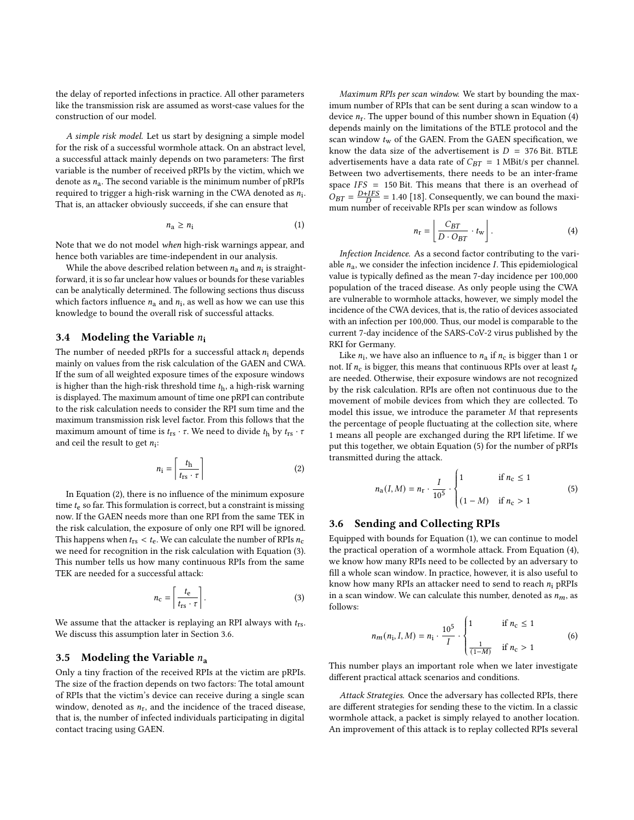the delay of reported infections in practice. All other parameters like the transmission risk are assumed as worst-case values for the construction of our model.

A simple risk model. Let us start by designing a simple model for the risk of a successful wormhole attack. On an abstract level, a successful attack mainly depends on two parameters: The first variable is the number of received pRPIs by the victim, which we denote as  $n_a$ . The second variable is the minimum number of pRPIs required to trigger a high-risk warning in the CWA denoted as  $n_{\rm i}$ . That is, an attacker obviously succeeds, if she can ensure that

<span id="page-4-5"></span>
$$
n_{\rm a} \ge n_{\rm i} \tag{1}
$$

Note that we do not model when high-risk warnings appear, and hence both variables are time-independent in our analysis.

While the above described relation between  $n_{\rm a}$  and  $n_{\rm i}$  is straightforward, it is so far unclear how values or bounds for these variables can be analytically determined. The following sections thus discuss which factors influence  $n_a$  and  $n_i$ , as well as how we can use this knowledge to bound the overall risk of successful attacks.

## <span id="page-4-6"></span>3.4 Modeling the Variable  $n_i$

The number of needed [pRPIs for a successful attack](#page-0-0)  $n_i$  depends mainly on values from the risk calculation of the GAEN and CWA. If the sum of all weighted exposure times of the exposure windows is higher than the [high-risk threshold time](#page-0-0)  $t<sub>h</sub>$ , a high-risk warning is displayed. The maximum amount of time one pRPI can contribute to the risk calculation needs to consider the [RPI sum time](#page-0-0) and the maximum transmission risk level factor. From this follows that the maximum amount of time is  $t_{rs} \cdot \tau$ . We need to divide  $t_h$  by  $t_{rs} \cdot \tau$ and ceil the result to get  $n_i$ :

<span id="page-4-0"></span>
$$
n_{\rm i} = \left\lceil \frac{t_{\rm h}}{t_{\rm rs} \cdot \tau} \right\rceil \tag{2}
$$

In Equation [\(2\)](#page-4-0), there is no influence of the [minimum exposure](#page-0-0) [time](#page-0-0)  $t_{e}$  so far. This formulation is correct, but a constraint is missing now. If the GAEN needs more than one RPI from the same TEK in the risk calculation, the exposure of only one RPI will be ignored. This happens when  $t_{rs} < t_e$ . We can calculate the number of RPIs  $n_c$ we need for recognition in the risk calculation with Equation [\(3\)](#page-4-1). This number tells us how many [continuous](#page-0-0) RPIs from the same TEK are needed for a successful attack:

<span id="page-4-1"></span>
$$
n_{\rm c} = \left\lceil \frac{t_{\rm e}}{t_{\rm rs} \cdot \tau} \right\rceil. \tag{3}
$$

We assume that the attacker is replaying an RPI always with  $t_{rs}$ . We discuss this assumption later in Section [3.6.](#page-4-2)

#### 3.5 Modeling the Variable  $n_a$

Only a tiny fraction of the received RPIs at the victim are pRPIs. The size of the fraction depends on two factors: The total amount of RPIs that the victim's device can receive during a single [scan](#page-0-0) [window,](#page-0-0) denoted as  $n_r$ , and the incidence of the traced disease, that is, the number of infected individuals participating in digital contact tracing using GAEN.

Maximum RPIs per scan window. We start by bounding the maximum number of RPIs that can be sent during a scan window to a device  $n_r$ . The upper bound of this number shown in Equation [\(4\)](#page-4-3) depends mainly on the limitations of the BTLE protocol and the scan window  $t_w$  of the GAEN. From the GAEN specification, we know the data size of the advertisement is  $D = 376$  Bit. BTLE advertisements have a data rate of  $C_{BT} = 1$  MBit/s per channel. Between two advertisements, there needs to be an inter-frame space  $IFS = 150$  Bit. This means that there is an overhead of  $\hat{O}_{BT} = \frac{D+IFS}{D} = 1.40$  [\[18\]](#page-11-20). Consequently, we can bound the maximum number of receivable RPIs per scan window as follows

<span id="page-4-3"></span>
$$
n_{\rm r} = \left[ \frac{C_{BT}}{D \cdot O_{BT}} \cdot t_{\rm w} \right]. \tag{4}
$$

Infection Incidence. As a second factor contributing to the variable  $n_a$ , we consider the infection incidence *I*. This epidemiological value is typically defined as the mean 7-day incidence per 100,000 population of the traced disease. As only people using the CWA are vulnerable to wormhole attacks, however, we simply model the [incidence of the CWA devices,](#page-0-0) that is, the ratio of devices associated with an infection per 100,000. Thus, our model is comparable to the current 7-day incidence of the SARS-CoV-2 virus published by the RKI for Germany.

Like  $n_i$ , we have also an influence to  $n_a$  if  $n_c$  is bigger than 1 or not. If  $n_c$  is bigger, this means that [continuous](#page-0-0) RPIs over at least  $t_e$ are needed. Otherwise, their exposure windows are not recognized by the risk calculation. RPIs are often not continuous due to the movement of mobile devices from which they are collected. To model this issue, we introduce the parameter  $M$  that represents the percentage of people fluctuating at the collection site, where 1 means all people are exchanged during the [RPI lifetime.](#page-0-0) If we put this together, we obtain Equation [\(5\)](#page-4-4) for the [number of](#page-0-0) pRPIs [transmitted during the attack.](#page-0-0)

<span id="page-4-4"></span>
$$
n_{\rm a}(I, M) = n_{\rm r} \cdot \frac{I}{10^5} \cdot \begin{cases} 1 & \text{if } n_{\rm c} \le 1 \\ & (1 - M) & \text{if } n_{\rm c} > 1 \end{cases} \tag{5}
$$

## <span id="page-4-2"></span>3.6 Sending and Collecting RPIs

Equipped with bounds for Equation [\(1\)](#page-4-5), we can continue to model the practical operation of a wormhole attack. From Equation [\(4\)](#page-4-3), we know how many RPIs need to be collected by an adversary to fill a whole [scan window.](#page-0-0) In practice, however, it is also useful to know how many RPIs an attacker need to send to reach  $n_i$  pRPIs in a [scan window.](#page-0-0) We can calculate this number, denoted as  $n_m$ , as follows:

$$
n_m(n_i, I, M) = n_i \cdot \frac{10^5}{I} \cdot \begin{cases} 1 & \text{if } n_c \le 1 \\ \frac{1}{(1-M)} & \text{if } n_c > 1 \end{cases}
$$
 (6)

 This number plays an important role when we later investigate different practical attack scenarios and conditions.

Attack Strategies. Once the adversary has collected RPIs, there are different strategies for sending these to the victim. In a classic wormhole attack, a packet is simply relayed to another location. An improvement of this attack is to replay collected RPIs several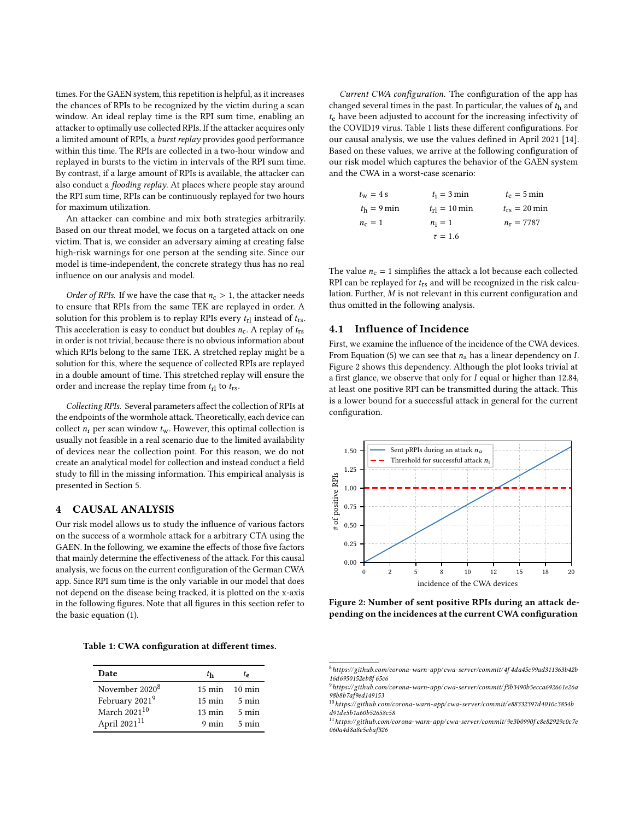times. For the GAEN system, this repetition is helpful, as it increases the chances of RPIs to be recognized by the victim during a scan window. An ideal replay time is the [RPI sum time,](#page-0-0) enabling an attacker to optimally use collected RPIs. If the attacker acquires only a limited amount of RPIs, a burst replay provides good performance within this time. The RPIs are collected in a two-hour window and replayed in bursts to the victim in intervals of the [RPI sum time.](#page-0-0) By contrast, if a large amount of RPIs is available, the attacker can also conduct a flooding replay. At places where people stay around the [RPI sum time,](#page-0-0) RPIs can be continuously replayed for two hours for maximum utilization.

An attacker can combine and mix both strategies arbitrarily. Based on our threat model, we focus on a targeted attack on one victim. That is, we consider an adversary aiming at creating false high-risk warnings for one person at the sending site. Since our model is time-independent, the concrete strategy thus has no real influence on our analysis and model.

Order of RPIs. If we have the case that  $n_c > 1$ , the attacker needs to ensure that RPIs from the same TEK are replayed in order. A solution for this problem is to replay RPIs every  $t_{\rm rl}$  instead of  $t_{\rm rs}$ . This acceleration is easy to conduct but doubles  $n_c$ . A replay of  $t_{rs}$ in order is not trivial, because there is no obvious information about which RPIs belong to the same TEK. A stretched replay might be a solution for this, where the sequence of collected RPIs are replayed in a double amount of time. This stretched replay will ensure the order and increase the replay time from  $t_{\rm rl}$  to  $t_{\rm rs}$ .

Collecting RPIs. Several parameters affect the collection of RPIs at the endpoints of the wormhole attack. Theoretically, each device can collect  $n_r$  per scan window  $t_w$ . However, this optimal collection is usually not feasible in a real scenario due to the limited availability of devices near the collection point. For this reason, we do not create an analytical model for collection and instead conduct a field study to fill in the missing information. This empirical analysis is presented in Section [5.](#page-7-0)

#### <span id="page-5-0"></span>4 CAUSAL ANALYSIS

Our risk model allows us to study the influence of various factors on the success of a wormhole attack for a arbitrary CTA using the GAEN. In the following, we examine the effects of those five factors that mainly determine the effectiveness of the attack. For this causal analysis, we focus on the current configuration of the German CWA app. Since [RPI sum time](#page-0-0) is the only variable in our model that does not depend on the disease being tracked, it is plotted on the x-axis in the following figures. Note that all figures in this section refer to the basic equation [\(1\)](#page-4-5).

<span id="page-5-5"></span>

|  |  | Table 1: CWA configuration at different times. |  |  |  |
|--|--|------------------------------------------------|--|--|--|
|--|--|------------------------------------------------|--|--|--|

| Date                       | $t_{\rm h}$                       | $t_{\rm e}$     |
|----------------------------|-----------------------------------|-----------------|
| November 2020 <sup>8</sup> | $15 \text{ min}$ $10 \text{ min}$ |                 |
| February 2021 <sup>9</sup> | $15 \text{ min}$                  | 5 min           |
| March 2021 <sup>10</sup>   | $13 \text{ min}$                  | $5 \text{ min}$ |
| April 2021 <sup>11</sup>   | $9 \text{ min}$                   | 5 min           |

Current CWA configuration. The configuration of the app has changed several times in the past. In particular, the values of  $t<sub>h</sub>$  and  $t<sub>e</sub>$  have been adjusted to account for the increasing infectivity of the COVID19 virus. Table [1](#page-5-5) lists these different configurations. For our causal analysis, we use the values defined in April 2021 [\[14\]](#page-11-19). Based on these values, we arrive at the following configuration of our risk model which captures the behavior of the GAEN system and the CWA in a worst-case scenario:

| $t_{\rm w} = 4$ s         | $t_i = 3 \text{ min}$       | $t_e = 5$ min         |
|---------------------------|-----------------------------|-----------------------|
| $t_{\rm h} = 9 \,\rm min$ | $t_{\rm rl} = 10 \,\rm min$ | $t_{\rm rs} = 20$ min |
| $n_c=1$                   | $n_i=1$                     | $n_r = 7787$          |
|                           | $\tau = 1.6$                |                       |

The value  $n_c = 1$  simplifies the attack a lot because each collected RPI can be replayed for  $t_{rs}$  and will be recognized in the risk calculation. Further,  $M$  is not relevant in this current configuration and thus omitted in the following analysis.

## 4.1 Influence of Incidence

First, we examine the influence of the [incidence of the CWA devices.](#page-0-0) From Equation [\(5\)](#page-4-4) we can see that  $n_a$  has a linear dependency on *I*. Figure [2](#page-5-6) shows this dependency. Although the plot looks trivial at a first glance, we observe that only for  $I$  equal or higher than 12.84, at least one positive RPI can be transmitted during the attack. This is a lower bound for a successful attack in general for the current configuration.

<span id="page-5-6"></span>

Figure 2: Number of sent positive RPIs during an attack depending on the incidences at the current CWA configuration

<span id="page-5-1"></span> $8$ [https://github.com/corona-warn-app/ cwa-server/commit/4f 4da45c99ad311363b42b](https://github.com/corona-warn-app/cwa-server/commit/4f4da45c99ad311363b42b16d6950152eb8f65c6) [16d6950152eb8f 65c6](https://github.com/corona-warn-app/cwa-server/commit/4f4da45c99ad311363b42b16d6950152eb8f65c6)

<span id="page-5-2"></span> $^9$ [https://github.com/corona-warn-app/ cwa-server/commit/ f5b3490b5ecca692661e26a](https://github.com/corona-warn-app/cwa-server/commit/f5b3490b5ecca692661e26a98b8b7af9ed149153) [98b8b7af9ed149153](https://github.com/corona-warn-app/cwa-server/commit/f5b3490b5ecca692661e26a98b8b7af9ed149153)

<span id="page-5-3"></span><sup>10</sup>[https://github.com/corona-warn-app/ cwa-server/commit/ e88332397d4010c3854b](https://github.com/corona-warn-app/cwa-server/commit/e88332397d4010c3854bd91de5b1a60b52658c58) [d91de5b1a60b52658c58](https://github.com/corona-warn-app/cwa-server/commit/e88332397d4010c3854bd91de5b1a60b52658c58)

<span id="page-5-4"></span><sup>11</sup>[https://github.com/corona-warn-app/ cwa-server/commit/9e3b0990f c8e82929c0c7e](https://github.com/corona-warn-app/cwa-server/commit/9e3b0990fc8e82929c0c7e060a4d8a8e5ebaf326) [060a4d8a8e5ebaf326](https://github.com/corona-warn-app/cwa-server/commit/9e3b0990fc8e82929c0c7e060a4d8a8e5ebaf326)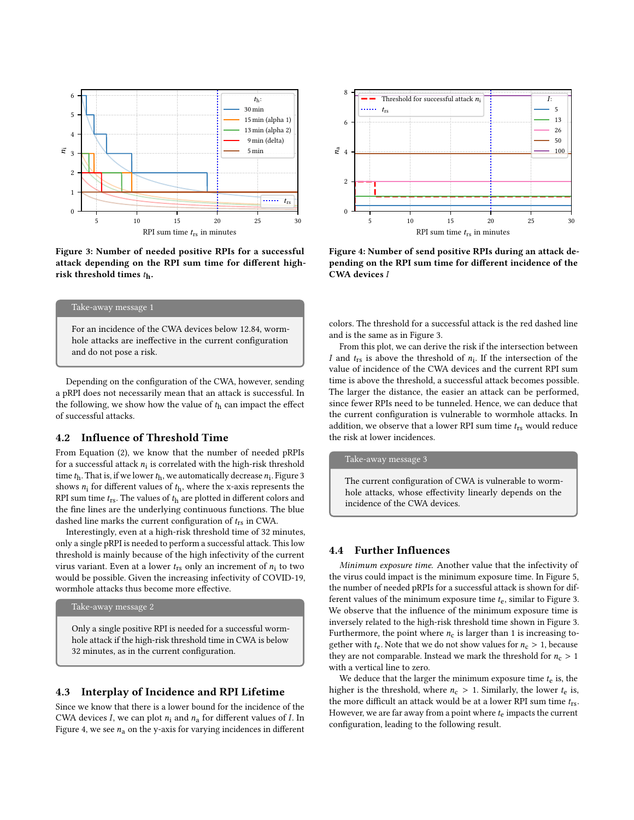<span id="page-6-0"></span>

Figure 3: Number of needed positive RPIs for a successful attack depending on the [RPI sum time](#page-0-0) for different [high](#page-0-0)[risk threshold times](#page-0-0)  $t<sub>h</sub>$ .



For an [incidence of the CWA devices](#page-0-0) below 12.84, wormhole attacks are ineffective in the current configuration and do not pose a risk.

Depending on the configuration of the CWA, however, sending a pRPI does not necessarily mean that an attack is successful. In the following, we show how the value of  $t<sub>h</sub>$  can impact the effect of successful attacks.

# 4.2 Influence of Threshold Time

From Equation [\(2\)](#page-4-0), we know that the [number of needed](#page-0-0) pRPIs [for a successful attack](#page-0-0)  $n_i$  is correlated with the [high-risk threshold](#page-0-0) [time](#page-0-0)  $t<sub>h</sub>$ . That is, if we lower  $t<sub>h</sub>$ , we automatically decrease  $n<sub>i</sub>$ . Figure [3](#page-6-0) shows  $n_i$  for different values of  $t<sub>h</sub>$ , where the x-axis represents the [RPI sum time](#page-0-0)  $t_{rs}$ . The values of  $t_h$  are plotted in different colors and the fine lines are the underlying continuous functions. The blue dashed line marks the current configuration of  $t_{rs}$  in CWA.

Interestingly, even at a [high-risk threshold time](#page-0-0) of 32 minutes, only a single pRPI is needed to perform a successful attack. This low threshold is mainly because of the high infectivity of the current virus variant. Even at a lower  $t_{rs}$  only an increment of  $n_i$  to two would be possible. Given the increasing infectivity of COVID-19, wormhole attacks thus become more effective.

## Take-away message 2

Only a single positive RPI is needed for a successful wormhole attack if the [high-risk threshold time](#page-0-0) in CWA is below 32 minutes, as in the current configuration.

## 4.3 Interplay of Incidence and RPI Lifetime

Since we know that there is a lower bound for the [incidence of the](#page-0-0) [CWA devices](#page-0-0) *I*, we can plot  $n_i$  and  $n_a$  for different values of *I*. In Figure [4,](#page-6-1) we see  $n_a$  on the y-axis for varying incidences in different

<span id="page-6-1"></span>

Figure 4: Number of send positive RPIs during an attack depending on the [RPI sum time](#page-0-0) for different [incidence of the](#page-0-0) [CWA devices](#page-0-0) I

colors. The threshold for a successful attack is the red dashed line and is the same as in Figure [3.](#page-6-0)

From this plot, we can derive the risk if the intersection between I and  $t_{rs}$  is above the threshold of  $n_i$ . If the intersection of the value of [incidence of the CWA devices](#page-0-0) and the current [RPI sum](#page-0-0) [time](#page-0-0) is above the threshold, a successful attack becomes possible. The larger the distance, the easier an attack can be performed, since fewer RPIs need to be tunneled. Hence, we can deduce that the current configuration is vulnerable to wormhole attacks. In addition, we observe that a lower [RPI sum time](#page-0-0)  $t_{rs}$  would reduce the risk at lower incidences.

#### Take-away message 3

The current configuration of CWA is vulnerable to wormhole attacks, whose effectivity linearly depends on the [incidence of the CWA devices.](#page-0-0)

### 4.4 Further Influences

Minimum exposure time. Another value that the infectivity of the virus could impact is the [minimum exposure time.](#page-0-0) In Figure [5,](#page-7-1) the number of needed [pRPIs for a successful attack](#page-0-0) is shown for different values of the [minimum exposure time](#page-0-0)  $t_{e}$ , similar to Figure [3.](#page-6-0) We observe that the influence of the [minimum exposure time](#page-0-0) is inversely related to the [high-risk threshold time](#page-0-0) shown in Figure [3.](#page-6-0) Furthermore, the point where  $n_c$  is larger than 1 is increasing together with  $t_e$ . Note that we do not show values for  $n_c > 1$ , because they are not comparable. Instead we mark the threshold for  $n_c > 1$ with a vertical line to zero.

We deduce that the larger the minimum exposure time  $t<sub>e</sub>$  is, the higher is the threshold, where  $n_c > 1$ . Similarly, the lower  $t_e$  is, the more difficult an attack would be at a lower [RPI sum time](#page-0-0)  $t_{rs}$ . However, we are far away from a point where  $t_e$  impacts the current configuration, leading to the following result.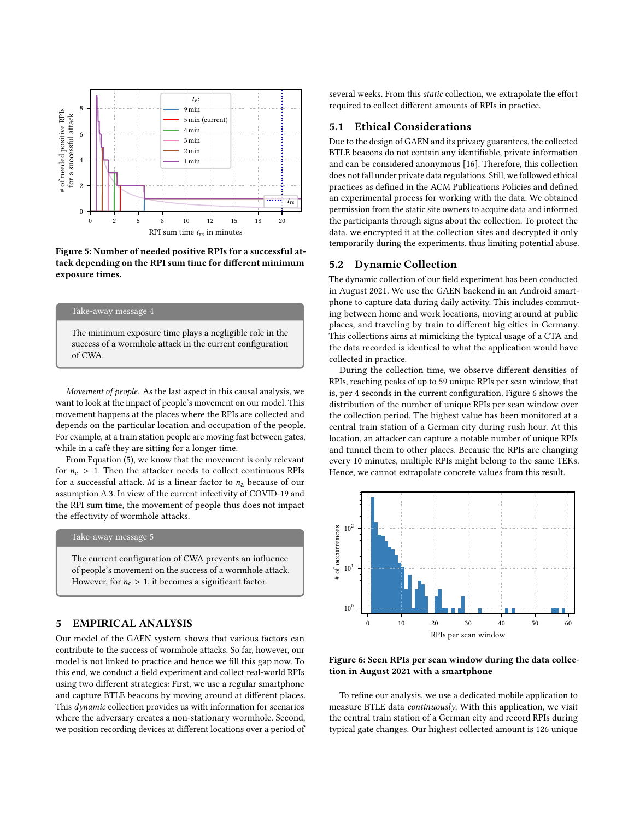<span id="page-7-1"></span>

Figure 5: Number of needed positive RPIs for a successful attack depending on the [RPI sum time](#page-0-0) for different [minimum](#page-0-0) [exposure times](#page-0-0).

## Take-away message 4

The minimum exposure time plays a negligible role in the success of a wormhole attack in the current configuration of CWA.

Movement of people. As the last aspect in this causal analysis, we want to look at the impact of people's movement on our model. This movement happens at the places where the RPIs are collected and depends on the particular location and occupation of the people. For example, at a train station people are moving fast between gates, while in a café they are sitting for a longer time.

From Equation [\(5\)](#page-4-4), we know that the movement is only relevant for  $n_c > 1$ . Then the attacker needs to collect continuous RPIs for a successful attack. *M* is a linear factor to  $n_a$  because of our assumption [A.3.](#page-3-0) In view of the current infectivity of COVID-19 and the [RPI sum time,](#page-0-0) the movement of people thus does not impact the effectivity of wormhole attacks.

#### Take-away message 5

The current configuration of CWA prevents an influence of people's movement on the success of a wormhole attack. However, for  $n_c > 1$ , it becomes a significant factor.

# <span id="page-7-0"></span>5 EMPIRICAL ANALYSIS

Our model of the GAEN system shows that various factors can contribute to the success of wormhole attacks. So far, however, our model is not linked to practice and hence we fill this gap now. To this end, we conduct a field experiment and collect real-world RPIs using two different strategies: First, we use a regular smartphone and capture BTLE beacons by moving around at different places. This dynamic collection provides us with information for scenarios where the adversary creates a non-stationary wormhole. Second, we position recording devices at different locations over a period of

several weeks. From this static collection, we extrapolate the effort required to collect different amounts of RPIs in practice.

# 5.1 Ethical Considerations

Due to the design of GAEN and its privacy guarantees, the collected BTLE beacons do not contain any identifiable, private information and can be considered anonymous [\[16\]](#page-11-21). Therefore, this collection does not fall under private data regulations. Still, we followed ethical practices as defined in the ACM Publications Policies and defined an experimental process for working with the data. We obtained permission from the static site owners to acquire data and informed the participants through signs about the collection. To protect the data, we encrypted it at the collection sites and decrypted it only temporarily during the experiments, thus limiting potential abuse.

#### <span id="page-7-3"></span>5.2 Dynamic Collection

The dynamic collection of our field experiment has been conducted in August 2021. We use the GAEN backend in an Android smartphone to capture data during daily activity. This includes commuting between home and work locations, moving around at public places, and traveling by train to different big cities in Germany. This collections aims at mimicking the typical usage of a CTA and the data recorded is identical to what the application would have collected in practice.

During the collection time, we observe different densities of RPIs, reaching peaks of up to 59 unique RPIs per scan window, that is, per 4 seconds in the current configuration. Figure [6](#page-7-2) shows the distribution of the number of unique RPIs per scan window over the collection period. The highest value has been monitored at a central train station of a German city during rush hour. At this location, an attacker can capture a notable number of unique RPIs and tunnel them to other places. Because the RPIs are changing every 10 minutes, multiple RPIs might belong to the same TEKs. Hence, we cannot extrapolate concrete values from this result.

<span id="page-7-2"></span>

Figure 6: Seen RPIs per [scan window](#page-0-0) during the data collection in August 2021 with a smartphone

To refine our analysis, we use a dedicated mobile application to measure BTLE data continuously. With this application, we visit the central train station of a German city and record RPIs during typical gate changes. Our highest collected amount is 126 unique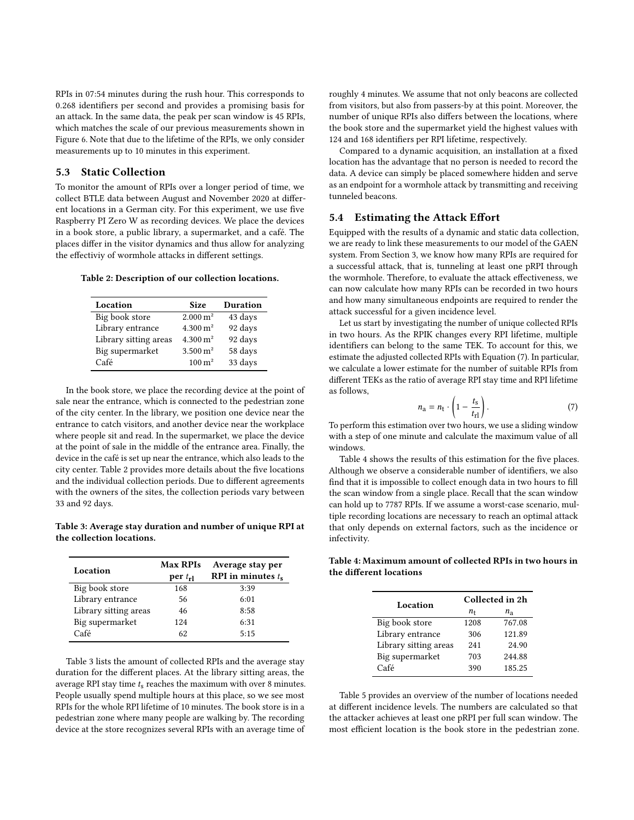RPIs in 07:54 minutes during the rush hour. This corresponds to 0.268 identifiers per second and provides a promising basis for an attack. In the same data, the peak per scan window is 45 RPIs, which matches the scale of our previous measurements shown in Figure [6.](#page-7-2) Note that due to the lifetime of the RPIs, we only consider measurements up to 10 minutes in this experiment.

# 5.3 Static Collection

To monitor the amount of RPIs over a longer period of time, we collect BTLE data between August and November 2020 at different locations in a German city. For this experiment, we use five Raspberry PI Zero W as recording devices. We place the devices in a book store, a public library, a supermarket, and a café. The places differ in the visitor dynamics and thus allow for analyzing the effectiviy of wormhole attacks in different settings.

<span id="page-8-0"></span>Table 2: Description of our collection locations.

| Location              | <b>Size</b>            | Duration |
|-----------------------|------------------------|----------|
| Big book store        | $2.000 \,\mathrm{m}^2$ | 43 days  |
| Library entrance      | $4.300 \text{ m}^2$    | 92 days  |
| Library sitting areas | $4.300 \text{ m}^2$    | 92 days  |
| Big supermarket       | $3.500 \,\mathrm{m}^2$ | 58 days  |
| Café                  | $100 \,\mathrm{m}^2$   | 33 days  |

In the book store, we place the recording device at the point of sale near the entrance, which is connected to the pedestrian zone of the city center. In the library, we position one device near the entrance to catch visitors, and another device near the workplace where people sit and read. In the supermarket, we place the device at the point of sale in the middle of the entrance area. Finally, the device in the café is set up near the entrance, which also leads to the city center. Table [2](#page-8-0) provides more details about the five locations and the individual collection periods. Due to different agreements with the owners of the sites, the collection periods vary between 33 and 92 days.

<span id="page-8-1"></span>Table 3: Average stay duration and number of unique RPI at the collection locations.

| Location              | <b>Max RPIs</b><br>$per t_{rl}$ | Average stay per<br>RPI in minutes $t_s$ |
|-----------------------|---------------------------------|------------------------------------------|
| Big book store        | 168                             | 3:39                                     |
| Library entrance      | 56                              | 6:01                                     |
| Library sitting areas | 46                              | 8:58                                     |
| Big supermarket       | 124                             | 6:31                                     |
| Café                  | 62                              | 5:15                                     |

Table [3](#page-8-1) lists the amount of collected RPIs and the average stay duration for the different places. At the library sitting areas, the [average RPI stay time](#page-0-0)  $t_s$  reaches the maximum with over 8 minutes. People usually spend multiple hours at this place, so we see most RPIs for the whole [RPI lifetime](#page-0-0) of 10 minutes. The book store is in a pedestrian zone where many people are walking by. The recording device at the store recognizes several RPIs with an average time of

roughly 4 minutes. We assume that not only beacons are collected from visitors, but also from passers-by at this point. Moreover, the number of unique RPIs also differs between the locations, where the book store and the supermarket yield the highest values with 124 and 168 identifiers per [RPI lifetime,](#page-0-0) respectively.

Compared to a dynamic acquisition, an installation at a fixed location has the advantage that no person is needed to record the data. A device can simply be placed somewhere hidden and serve as an endpoint for a wormhole attack by transmitting and receiving tunneled beacons.

#### 5.4 Estimating the Attack Effort

Equipped with the results of a dynamic and static data collection, we are ready to link these measurements to our model of the GAEN system. From Section [3,](#page-2-0) we know how many RPIs are required for a successful attack, that is, tunneling at least one pRPI through the wormhole. Therefore, to evaluate the attack effectiveness, we can now calculate how many RPIs can be recorded in two hours and how many simultaneous endpoints are required to render the attack successful for a given incidence level.

Let us start by investigating the [number of unique collected RPIs](#page-0-0) in two hours. As the RPIK changes every [RPI lifetime,](#page-0-0) multiple identifiers can belong to the same TEK. To account for this, we estimate the [adjusted collected RPIs](#page-0-0) with Equation [\(7\)](#page-8-2). In particular, we calculate a lower estimate for the number of suitable RPIs from different TEKs as the ratio of [average RPI stay time](#page-0-0) and [RPI lifetime](#page-0-0) as follows,

<span id="page-8-2"></span>
$$
n_{\rm a} = n_{\rm t} \cdot \left(1 - \frac{t_{\rm s}}{t_{\rm r1}}\right). \tag{7}
$$

To perform this estimation over two hours, we use a sliding window with a step of one minute and calculate the maximum value of all windows.

Table [4](#page-8-3) shows the results of this estimation for the five places. Although we observe a considerable number of identifiers, we also find that it is impossible to collect enough data in two hours to fill the [scan window](#page-0-0) from a single place. Recall that the [scan window](#page-0-0) can hold up to 7787 RPIs. If we assume a worst-case scenario, multiple recording locations are necessary to reach an optimal attack that only depends on external factors, such as the incidence or infectivity.

<span id="page-8-3"></span>Table 4: Maximum amount of collected RPIs in two hours in the different locations

| Location              | Collected in 2h |             |  |
|-----------------------|-----------------|-------------|--|
|                       | n <sub>t</sub>  | $n_{\rm a}$ |  |
| Big book store        | 1208            | 767.08      |  |
| Library entrance      | 306             | 121.89      |  |
| Library sitting areas | 241             | 24.90       |  |
| Big supermarket       | 703             | 244.88      |  |
| Café                  | 390             | 185.25      |  |

Table [5](#page-9-1) provides an overview of the number of locations needed at different incidence levels. The numbers are calculated so that the attacker achieves at least one pRPI per full [scan window.](#page-0-0) The most efficient location is the book store in the pedestrian zone.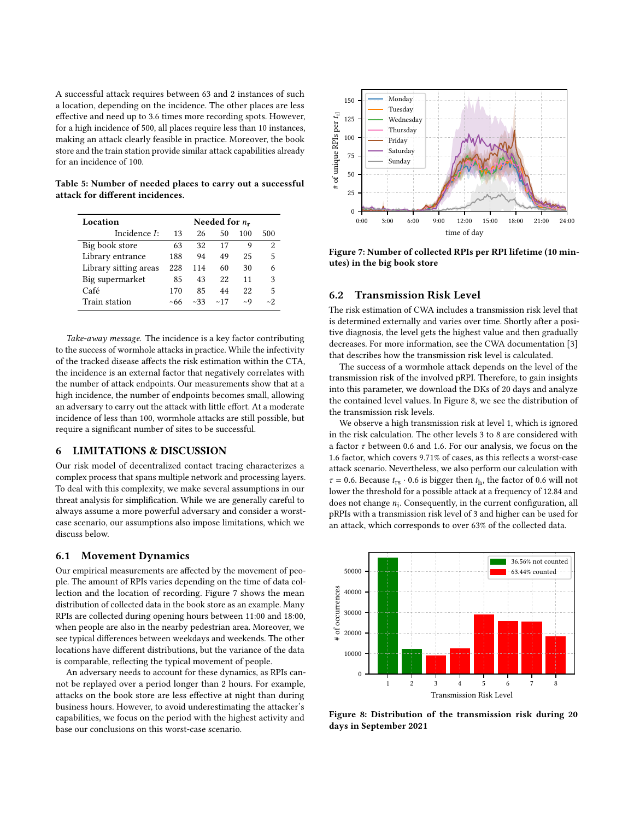A successful attack requires between 63 and 2 instances of such a location, depending on the incidence. The other places are less effective and need up to 3.6 times more recording spots. However, for a high incidence of 500, all places require less than 10 instances, making an attack clearly feasible in practice. Moreover, the book store and the train station provide similar attack capabilities already for an incidence of 100.

<span id="page-9-1"></span>Table 5: Number of needed places to carry out a successful attack for different incidences.

| Location              | Needed for $n_r$ |      |     |          |                |
|-----------------------|------------------|------|-----|----------|----------------|
| Incidence I:          | 13               | 26   | 50  | 100      | 500            |
| Big book store        | 63               | 32   | 17  | q        | $\mathfrak{D}$ |
| Library entrance      | 188              | 94   | 49  | 25       | 5              |
| Library sitting areas | 228              | 114  | 60  | 30       | 6              |
| Big supermarket       | 85               | 43   | 22  | 11       | 3              |
| Café                  | 170              | 85   | 44  | 22       | 5              |
| Train station         | ~66              | ~233 | ~17 | $\sim Q$ | $\sim$ 2       |

Take-away message. The incidence is a key factor contributing to the success of wormhole attacks in practice. While the infectivity of the tracked disease affects the risk estimation within the CTA, the incidence is an external factor that negatively correlates with the number of attack endpoints. Our measurements show that at a high incidence, the number of endpoints becomes small, allowing an adversary to carry out the attack with little effort. At a moderate incidence of less than 100, wormhole attacks are still possible, but require a significant number of sites to be successful.

# <span id="page-9-0"></span>6 LIMITATIONS & DISCUSSION

Our risk model of decentralized contact tracing characterizes a complex process that spans multiple network and processing layers. To deal with this complexity, we make several assumptions in our threat analysis for simplification. While we are generally careful to always assume a more powerful adversary and consider a worstcase scenario, our assumptions also impose limitations, which we discuss below.

## 6.1 Movement Dynamics

Our empirical measurements are affected by the movement of people. The amount of RPIs varies depending on the time of data collection and the location of recording. Figure [7](#page-9-2) shows the mean distribution of collected data in the book store as an example. Many RPIs are collected during opening hours between 11:00 and 18:00, when people are also in the nearby pedestrian area. Moreover, we see typical differences between weekdays and weekends. The other locations have different distributions, but the variance of the data is comparable, reflecting the typical movement of people.

An adversary needs to account for these dynamics, as RPIs cannot be replayed over a period longer than 2 hours. For example, attacks on the book store are less effective at night than during business hours. However, to avoid underestimating the attacker's capabilities, we focus on the period with the highest activity and base our conclusions on this worst-case scenario.

<span id="page-9-2"></span>

Figure 7: Number of collected RPIs per RPI lifetime (10 minutes) in the big book store

# 6.2 Transmission Risk Level

The risk estimation of CWA includes a transmission risk level that is determined externally and varies over time. Shortly after a positive diagnosis, the level gets the highest value and then gradually decreases. For more information, see the CWA documentation [\[3\]](#page-11-13) that describes how the transmission risk level is calculated.

The success of a wormhole attack depends on the level of the transmission risk of the involved pRPI. Therefore, to gain insights into this parameter, we download the DKs of 20 days and analyze the contained level values. In Figure [8,](#page-9-3) we see the distribution of the transmission risk levels.

We observe a high transmission risk at level 1, which is ignored in the risk calculation. The other levels 3 to 8 are considered with a factor  $\tau$  between 0.6 and 1.6. For our analysis, we focus on the 1.6 factor, which covers 9.71% of cases, as this reflects a worst-case attack scenario. Nevertheless, we also perform our calculation with  $\tau$  = 0.6. Because  $t_{rs} \cdot 0.6$  is bigger then  $t_h$ , the factor of 0.6 will not lower the threshold for a possible attack at a frequency of 12.84 and does not change  $n_i$ . Consequently, in the current configuration, all pRPIs with a transmission risk level of 3 and higher can be used for an attack, which corresponds to over 63% of the collected data.

<span id="page-9-3"></span>

Figure 8: Distribution of the transmission risk during 20 days in September 2021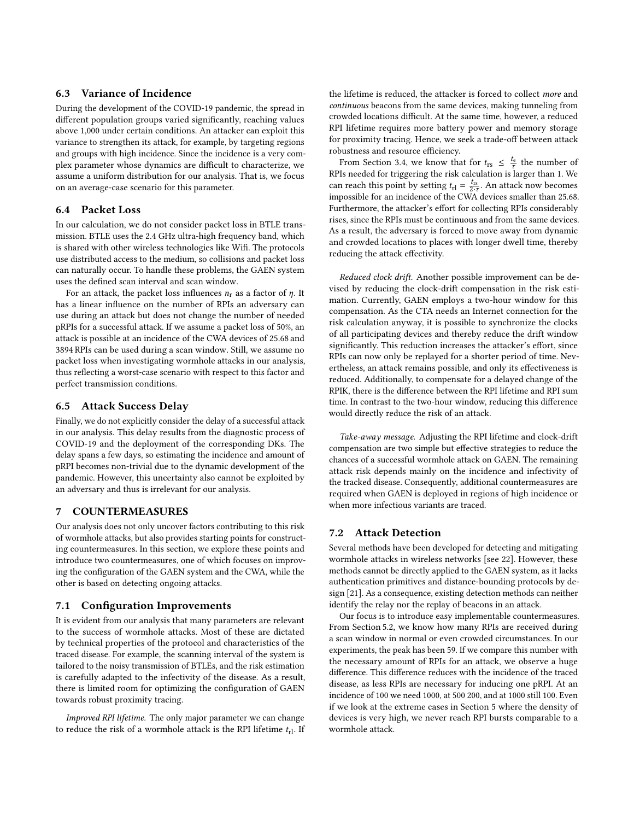# 6.3 Variance of Incidence

During the development of the COVID-19 pandemic, the spread in different population groups varied significantly, reaching values above 1,000 under certain conditions. An attacker can exploit this variance to strengthen its attack, for example, by targeting regions and groups with high incidence. Since the incidence is a very complex parameter whose dynamics are difficult to characterize, we assume a uniform distribution for our analysis. That is, we focus on an average-case scenario for this parameter.

# 6.4 Packet Loss

In our calculation, we do not consider packet loss in BTLE transmission. BTLE uses the 2.4 GHz ultra-high frequency band, which is shared with other wireless technologies like Wifi. The protocols use distributed access to the medium, so collisions and packet loss can naturally occur. To handle these problems, the GAEN system uses the defined [scan interval](#page-0-0) and [scan window.](#page-0-0)

For an attack, the packet loss influences  $n_r$  as a factor of  $\eta$ . It has a linear influence on the number of RPIs an adversary can use during an attack but does not change the [number of needed](#page-0-0) [pRPIs for a successful attack.](#page-0-0) If we assume a packet loss of 50%, an attack is possible at an [incidence of the CWA devices](#page-0-0) of 25.68 and 3894 RPIs can be used during a [scan window.](#page-0-0) Still, we assume no packet loss when investigating wormhole attacks in our analysis, thus reflecting a worst-case scenario with respect to this factor and perfect transmission conditions.

#### 6.5 Attack Success Delay

Finally, we do not explicitly consider the delay of a successful attack in our analysis. This delay results from the diagnostic process of COVID-19 and the deployment of the corresponding DKs. The delay spans a few days, so estimating the incidence and amount of pRPI becomes non-trivial due to the dynamic development of the pandemic. However, this uncertainty also cannot be exploited by an adversary and thus is irrelevant for our analysis.

## <span id="page-10-0"></span>7 COUNTERMEASURES

Our analysis does not only uncover factors contributing to this risk of wormhole attacks, but also provides starting points for constructing countermeasures. In this section, we explore these points and introduce two countermeasures, one of which focuses on improving the configuration of the GAEN system and the CWA, while the other is based on detecting ongoing attacks.

#### 7.1 Configuration Improvements

It is evident from our analysis that many parameters are relevant to the success of wormhole attacks. Most of these are dictated by technical properties of the protocol and characteristics of the traced disease. For example, the scanning interval of the system is tailored to the noisy transmission of BTLEs, and the risk estimation is carefully adapted to the infectivity of the disease. As a result, there is limited room for optimizing the configuration of GAEN towards robust proximity tracing.

Improved [RPI lifetime.](#page-0-0) The only major parameter we can change to reduce the risk of a wormhole attack is the RPI lifetime  $t_{\text{rl}}$ . If

the lifetime is reduced, the attacker is forced to collect more and continuous beacons from the same devices, making tunneling from crowded locations difficult. At the same time, however, a reduced RPI lifetime requires more battery power and memory storage for proximity tracing. Hence, we seek a trade-off between attack robustness and resource efficiency.

From Section [3.4,](#page-4-6) we know that for  $t_{rs} \leq \frac{t_e}{\tau}$  the number of RPIs needed for triggering the risk calculation is larger than 1. We can reach this point by setting  $t_{\text{rl}} = \frac{t_{\text{rs}}}{2 \cdot \tau}$ . An attack now becomes impossible for an [incidence of the CWA devices](#page-0-0) smaller than 25.68. Furthermore, the attacker's effort for collecting RPIs considerably rises, since the RPIs must be continuous and from the same devices. As a result, the adversary is forced to move away from dynamic and crowded locations to places with longer dwell time, thereby reducing the attack effectivity.

Reduced clock drift. Another possible improvement can be devised by reducing the clock-drift compensation in the risk estimation. Currently, GAEN employs a two-hour window for this compensation. As the CTA needs an Internet connection for the risk calculation anyway, it is possible to synchronize the clocks of all participating devices and thereby reduce the drift window significantly. This reduction increases the attacker's effort, since RPIs can now only be replayed for a shorter period of time. Nevertheless, an attack remains possible, and only its effectiveness is reduced. Additionally, to compensate for a delayed change of the RPIK, there is the difference between the [RPI lifetime](#page-0-0) and [RPI sum](#page-0-0) [time.](#page-0-0) In contrast to the two-hour window, reducing this difference would directly reduce the risk of an attack.

Take-away message. Adjusting the RPI lifetime and clock-drift compensation are two simple but effective strategies to reduce the chances of a successful wormhole attack on GAEN. The remaining attack risk depends mainly on the incidence and infectivity of the tracked disease. Consequently, additional countermeasures are required when GAEN is deployed in regions of high incidence or when more infectious variants are traced.

# 7.2 Attack Detection

Several methods have been developed for detecting and mitigating wormhole attacks in wireless networks [see [22\]](#page-11-22). However, these methods cannot be directly applied to the GAEN system, as it lacks authentication primitives and distance-bounding protocols by design [\[21\]](#page-11-23). As a consequence, existing detection methods can neither identify the relay nor the replay of beacons in an attack.

Our focus is to introduce easy implementable countermeasures. From Section [5.2,](#page-7-3) we know how many RPIs are received during a scan window in normal or even crowded circumstances. In our experiments, the peak has been 59. If we compare this number with the necessary amount of RPIs for an attack, we observe a huge difference. This difference reduces with the incidence of the traced disease, as less RPIs are necessary for inducing one pRPI. At an incidence of 100 we need 1000, at 500 200, and at 1000 still 100. Even if we look at the extreme cases in Section [5](#page-7-0) where the density of devices is very high, we never reach RPI bursts comparable to a wormhole attack.